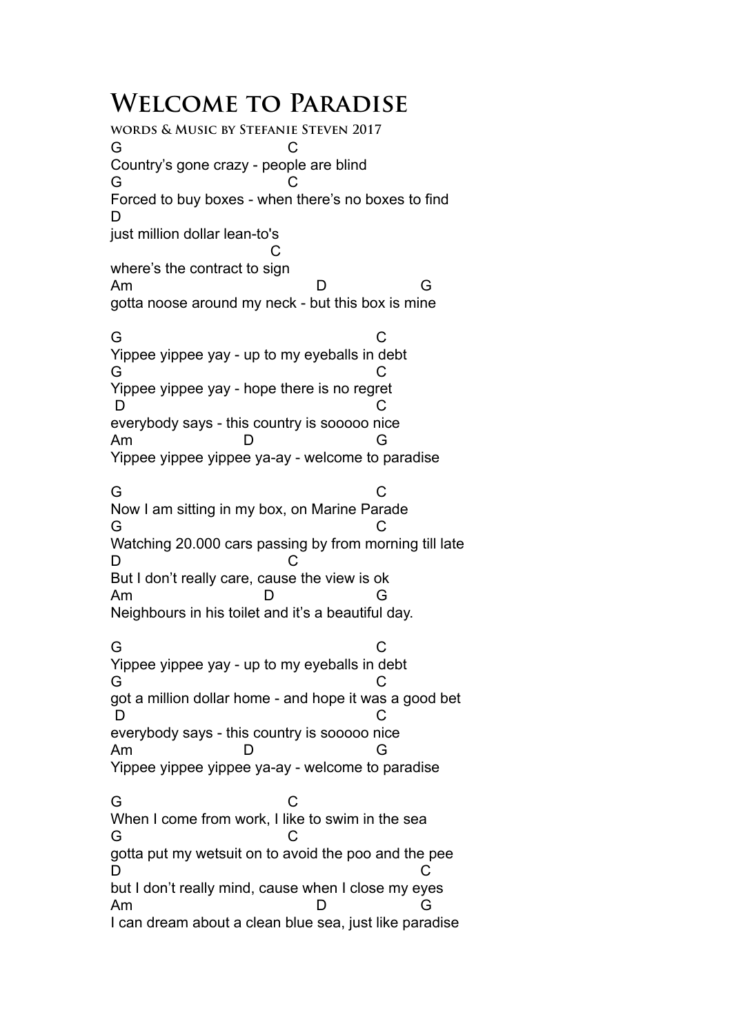## **Welcome to Paradise**

**words & Music by Stefanie Steven 2017** G C Country's gone crazy - people are blind G C Forced to buy boxes - when there's no boxes to find D just million dollar lean-to's **C** and the contract of the contract of the contract of the contract of the contract of the contract of the contract of the contract of the contract of the contract of the contract of the contract of the contract of the co where's the contract to sign Am D G gotta noose around my neck - but this box is mine G C Yippee yippee yay - up to my eyeballs in debt G C Yippee yippee yay - hope there is no regret D C everybody says - this country is sooooo nice Am D G Yippee yippee yippee ya-ay - welcome to paradise G C Now I am sitting in my box, on Marine Parade G C Watching 20.000 cars passing by from morning till late D C But I don't really care, cause the view is ok Am D G Neighbours in his toilet and it's a beautiful day. G C Yippee yippee yay - up to my eyeballs in debt G C got a million dollar home - and hope it was a good bet D C everybody says - this country is sooooo nice Am D G Yippee yippee yippee ya-ay - welcome to paradise G C When I come from work. I like to swim in the sea G C gotta put my wetsuit on to avoid the poo and the pee D C but I don't really mind, cause when I close my eyes Am D G I can dream about a clean blue sea, just like paradise